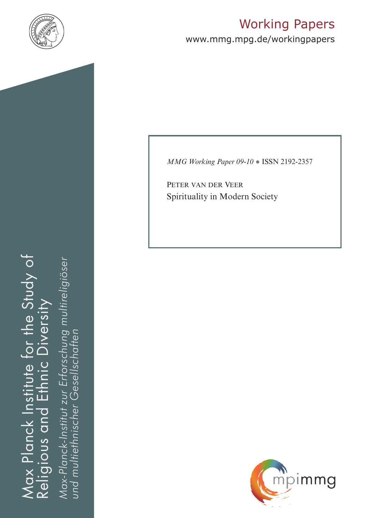

# Working Papers

www.mmg.mpg.de/workingpapers

*MMG Working Paper 09-10* ● ISSN 2192-2357

Peter van der Veer Spirituality in Modern Society



Max Planck Institute for the Study of Religious and Ethnic Diversity Aax Planck Institute for the Study of Ethnic Diversity Religious and

*Max-Planck-Institut zur Erforschung multireligiöser*  Max-Planck-Institut zur Erforschung multireligiöser<br>und multiethnischer Gesellschaften *und multiethnischer Gesellschaften*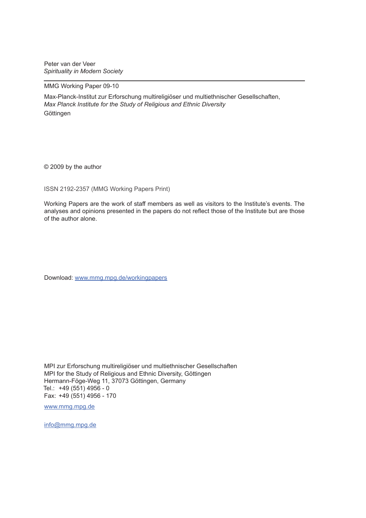Peter van der Veer *Spirituality in Modern Society*

#### MMG Working Paper 09-10

Max-Planck-Institut zur Erforschung multireligiöser und multiethnischer Gesellschaften, *Max Planck Institute for the Study of Religious and Ethnic Diversity* Göttingen

© 2009 by the author

ISSN 2192-2357 (MMG Working Papers Print)

Working Papers are the work of staff members as well as visitors to the Institute's events. The analyses and opinions presented in the papers do not reflect those of the Institute but are those of the author alone.

Download: www.mmg.mpg.de/workingpapers

MPI zur Erforschung multireligiöser und multiethnischer Gesellschaften MPI for the Study of Religious and Ethnic Diversity, Göttingen Hermann-Föge-Weg 11, 37073 Göttingen, Germany Tel.: +49 (551) 4956 - 0 Fax: +49 (551) 4956 - 170

www.mmg.mpg.de

info@mmg.mpg.de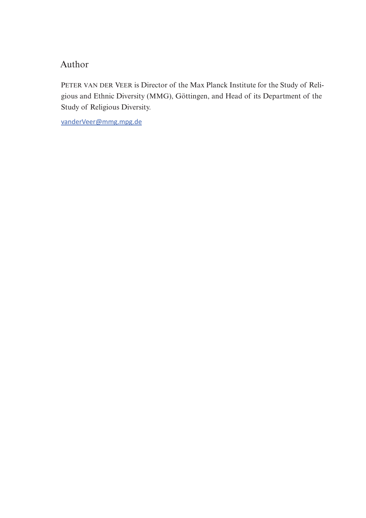# Author

PETER VAN DER VEER is Director of the Max Planck Institute for the Study of Religious and Ethnic Diversity (MMG), Göttingen, and Head of its Department of the Study of Religious Diversity.

vanderVeer@mmg.mpg.de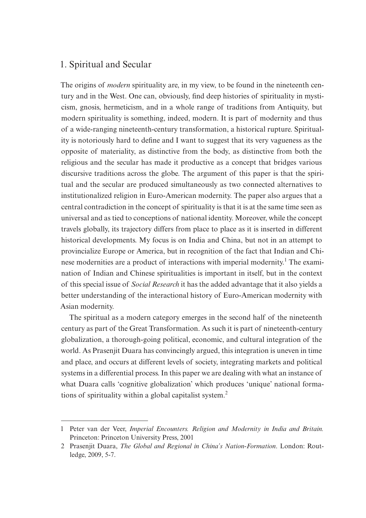## 1. Spiritual and Secular

The origins of *modern* spirituality are, in my view, to be found in the nineteenth century and in the West. One can, obviously, find deep histories of spirituality in mysticism, gnosis, hermeticism, and in a whole range of traditions from Antiquity, but modern spirituality is something, indeed, modern. It is part of modernity and thus of a wide-ranging nineteenth-century transformation, a historical rupture. Spirituality is notoriously hard to define and I want to suggest that its very vagueness as the opposite of materiality, as distinctive from the body, as distinctive from both the religious and the secular has made it productive as a concept that bridges various discursive traditions across the globe. The argument of this paper is that the spiritual and the secular are produced simultaneously as two connected alternatives to institutionalized religion in Euro-American modernity. The paper also argues that a central contradiction in the concept of spirituality is that it is at the same time seen as universal and as tied to conceptions of national identity. Moreover, while the concept travels globally, its trajectory differs from place to place as it is inserted in different historical developments. My focus is on India and China, but not in an attempt to provincialize Europe or America, but in recognition of the fact that Indian and Chinese modernities are a product of interactions with imperial modernity.<sup>1</sup> The examination of Indian and Chinese spiritualities is important in itself, but in the context of this special issue of *Social Research* it has the added advantage that it also yields a better understanding of the interactional history of Euro-American modernity with Asian modernity.

The spiritual as a modern category emerges in the second half of the nineteenth century as part of the Great Transformation. As such it is part of nineteenth-century globalization, a thorough-going political, economic, and cultural integration of the world. As Prasenjit Duara has convincingly argued, this integration is uneven in time and place, and occurs at different levels of society, integrating markets and political systems in a differential process. In this paper we are dealing with what an instance of what Duara calls 'cognitive globalization' which produces 'unique' national formations of spirituality within a global capitalist system.<sup>2</sup>

<sup>1</sup> Peter van der Veer, *Imperial Encounters. Religion and Modernity in India and Britain.* Princeton: Princeton University Press, 2001

<sup>2</sup> Prasenjit Duara, *The Global and Regional in China's Nation-Formation*. London: Routledge, 2009, 5-7.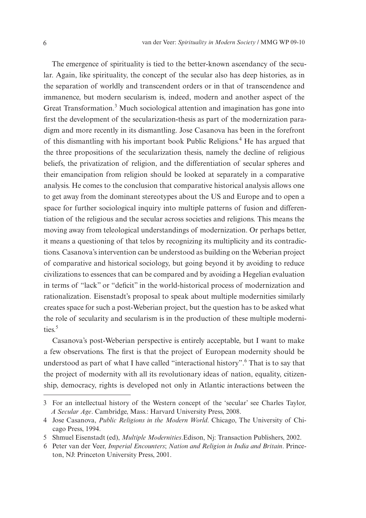The emergence of spirituality is tied to the better-known ascendancy of the secular. Again, like spirituality, the concept of the secular also has deep histories, as in the separation of worldly and transcendent orders or in that of transcendence and immanence, but modern secularism is, indeed, modern and another aspect of the Great Transformation.<sup>3</sup> Much sociological attention and imagination has gone into first the development of the secularization-thesis as part of the modernization paradigm and more recently in its dismantling. Jose Casanova has been in the forefront of this dismantling with his important book Public Religions.<sup>4</sup> He has argued that the three propositions of the secularization thesis, namely the decline of religious beliefs, the privatization of religion, and the differentiation of secular spheres and their emancipation from religion should be looked at separately in a comparative analysis. He comes to the conclusion that comparative historical analysis allows one to get away from the dominant stereotypes about the US and Europe and to open a space for further sociological inquiry into multiple patterns of fusion and differentiation of the religious and the secular across societies and religions. This means the moving away from teleological understandings of modernization. Or perhaps better, it means a questioning of that telos by recognizing its multiplicity and its contradictions. Casanova's intervention can be understood as building on the Weberian project of comparative and historical sociology, but going beyond it by avoiding to reduce civilizations to essences that can be compared and by avoiding a Hegelian evaluation in terms of "lack" or "deficit" in the world-historical process of modernization and rationalization. Eisenstadt's proposal to speak about multiple modernities similarly creates space for such a post-Weberian project, but the question has to be asked what the role of secularity and secularism is in the production of these multiple modernities.<sup>5</sup>

Casanova's post-Weberian perspective is entirely acceptable, but I want to make a few observations. The first is that the project of European modernity should be understood as part of what I have called "interactional history".<sup>6</sup> That is to say that the project of modernity with all its revolutionary ideas of nation, equality, citizenship, democracy, rights is developed not only in Atlantic interactions between the

<sup>3</sup> For an intellectual history of the Western concept of the 'secular' see Charles Taylor, *A Secular Age*. Cambridge, Mass.: Harvard University Press, 2008.

<sup>4</sup> Jose Casanova, *Public Religions in the Modern World*. Chicago, The University of Chicago Press, 1994.

<sup>5</sup> Shmuel Eisenstadt (ed), *Multiple Modernities*.Edison, Nj: Transaction Publishers, 2002.

<sup>6</sup> Peter van der Veer, *Imperial Encounters*; *Nation and Religion in India and Britain*. Princeton, NJ: Princeton University Press, 2001.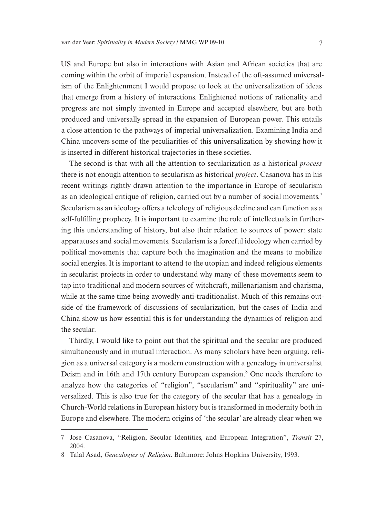US and Europe but also in interactions with Asian and African societies that are coming within the orbit of imperial expansion. Instead of the oft-assumed universalism of the Enlightenment I would propose to look at the universalization of ideas that emerge from a history of interactions. Enlightened notions of rationality and progress are not simply invented in Europe and accepted elsewhere, but are both produced and universally spread in the expansion of European power. This entails a close attention to the pathways of imperial universalization. Examining India and China uncovers some of the peculiarities of this universalization by showing how it is inserted in different historical trajectories in these societies.

The second is that with all the attention to secularization as a historical *process* there is not enough attention to secularism as historical *project*. Casanova has in his recent writings rightly drawn attention to the importance in Europe of secularism as an ideological critique of religion, carried out by a number of social movements.7 Secularism as an ideology offers a teleology of religious decline and can function as a self-fulfilling prophecy. It is important to examine the role of intellectuals in furthering this understanding of history, but also their relation to sources of power: state apparatuses and social movements. Secularism is a forceful ideology when carried by political movements that capture both the imagination and the means to mobilize social energies. It is important to attend to the utopian and indeed religious elements in secularist projects in order to understand why many of these movements seem to tap into traditional and modern sources of witchcraft, millenarianism and charisma, while at the same time being avowedly anti-traditionalist. Much of this remains outside of the framework of discussions of secularization, but the cases of India and China show us how essential this is for understanding the dynamics of religion and the secular.

Thirdly, I would like to point out that the spiritual and the secular are produced simultaneously and in mutual interaction. As many scholars have been arguing, religion as a universal category is a modern construction with a genealogy in universalist Deism and in 16th and 17th century European expansion.<sup>8</sup> One needs therefore to analyze how the categories of "religion", "secularism" and "spirituality" are universalized. This is also true for the category of the secular that has a genealogy in Church-World relations in European history but is transformed in modernity both in Europe and elsewhere. The modern origins of 'the secular' are already clear when we

<sup>7</sup> Jose Casanova, "Religion, Secular Identities, and European Integration", *Transit* 27, 2004.

<sup>8</sup> Talal Asad, *Genealogies of Religion*. Baltimore: Johns Hopkins University, 1993.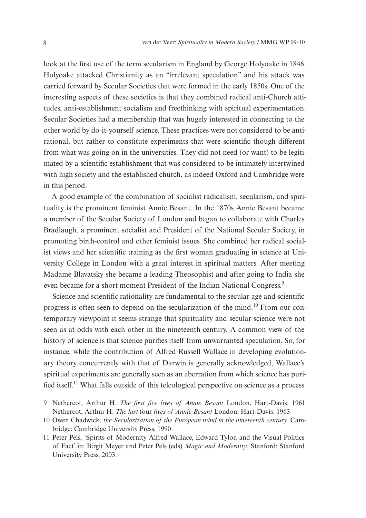look at the first use of the term secularism in England by George Holyoake in 1846. Holyoake attacked Christianity as an "irrelevant speculation" and his attack was carried forward by Secular Societies that were formed in the early 1850s. One of the interesting aspects of these societies is that they combined radical anti-Church attitudes, anti-establishment socialism and freethinking with spiritual experimentation. Secular Societies had a membership that was hugely interested in connecting to the other world by do-it-yourself science. These practices were not considered to be antirational, but rather to constitute experiments that were scientific though different from what was going on in the universities. They did not need (or want) to be legitimated by a scientific establishment that was considered to be intimately intertwined with high society and the established church, as indeed Oxford and Cambridge were in this period.

A good example of the combination of socialist radicalism, secularism, and spirituality is the prominent feminist Annie Besant. In the 1870s Annie Besant became a member of the Secular Society of London and began to collaborate with Charles Bradlaugh, a prominent socialist and President of the National Secular Society, in promoting birth-control and other feminist issues. She combined her radical socialist views and her scientific training as the first woman graduating in science at University College in London with a great interest in spiritual matters. After meeting Madame Blavatsky she became a leading Theosophist and after going to India she even became for a short moment President of the Indian National Congress.<sup>9</sup>

Science and scientific rationality are fundamental to the secular age and scientific progress is often seen to depend on the secularization of the mind.10 From our contemporary viewpoint it seems strange that spirituality and secular science were not seen as at odds with each other in the nineteenth century. A common view of the history of science is that science purifies itself from unwarranted speculation. So, for instance, while the contribution of Alfred Russell Wallace in developing evolutionary theory concurrently with that of Darwin is generally acknowledged, Wallace's spiritual experiments are generally seen as an aberration from which science has purified itself.<sup>11</sup> What falls outside of this teleological perspective on science as a process

<sup>9</sup> Nethercot, Arthur H. *The first five lives of Annie Besant* London, Hart-Davis: 1961 Nethercot, Arthur H. *The last* four *lives of Annie Besant* London, Hart-Davis: 1963

<sup>10</sup> Owen Chadwick, *the Secularization of the European mind in the nineteenth century.* Cambridge: Cambridge University Press, 1990

<sup>11</sup> Peter Pels, 'Spirits of Modernity Alfred Wallace, Edward Tylor, and the Visual Politics of Fact' in: Birgit Meyer and Peter Pels (eds) *Magic and Modernity*. Stanford: Stanford University Press, 2003.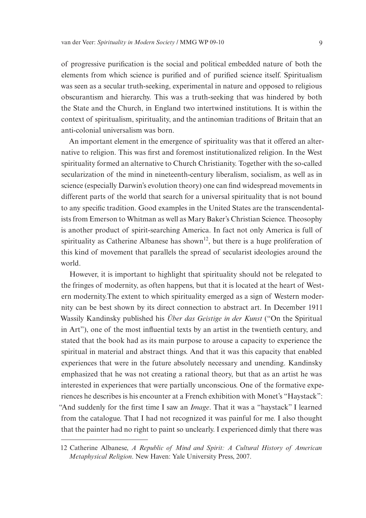of progressive purification is the social and political embedded nature of both the elements from which science is purified and of purified science itself. Spiritualism was seen as a secular truth-seeking, experimental in nature and opposed to religious obscurantism and hierarchy. This was a truth-seeking that was hindered by both the State and the Church, in England two intertwined institutions. It is within the context of spiritualism, spirituality, and the antinomian traditions of Britain that an anti-colonial universalism was born.

An important element in the emergence of spirituality was that it offered an alternative to religion. This was first and foremost institutionalized religion. In the West spirituality formed an alternative to Church Christianity. Together with the so-called secularization of the mind in nineteenth-century liberalism, socialism, as well as in science (especially Darwin's evolution theory) one can find widespread movements in different parts of the world that search for a universal spirituality that is not bound to any specific tradition. Good examples in the United States are the transcendentalists from Emerson to Whitman as well as Mary Baker's Christian Science. Theosophy is another product of spirit-searching America. In fact not only America is full of spirituality as Catherine Albanese has shown<sup>12</sup>, but there is a huge proliferation of this kind of movement that parallels the spread of secularist ideologies around the world.

However, it is important to highlight that spirituality should not be relegated to the fringes of modernity, as often happens, but that it is located at the heart of Western modernity.The extent to which spirituality emerged as a sign of Western modernity can be best shown by its direct connection to abstract art. In December 1911 Wassily Kandinsky published his *Über das Geistige in der Kunst* ("On the Spiritual in Art"), one of the most influential texts by an artist in the twentieth century, and stated that the book had as its main purpose to arouse a capacity to experience the spiritual in material and abstract things. And that it was this capacity that enabled experiences that were in the future absolutely necessary and unending. Kandinsky emphasized that he was not creating a rational theory, but that as an artist he was interested in experiences that were partially unconscious. One of the formative experiences he describes is his encounter at a French exhibition with Monet's "Haystack": "And suddenly for the first time I saw an *Image*. That it was a "haystack" I learned from the catalogue. That I had not recognized it was painful for me. I also thought that the painter had no right to paint so unclearly. I experienced dimly that there was

<sup>12</sup> Catherine Albanese, *A Republic of Mind and Spirit: A Cultural History of American Metaphysical Religion*. New Haven: Yale University Press, 2007.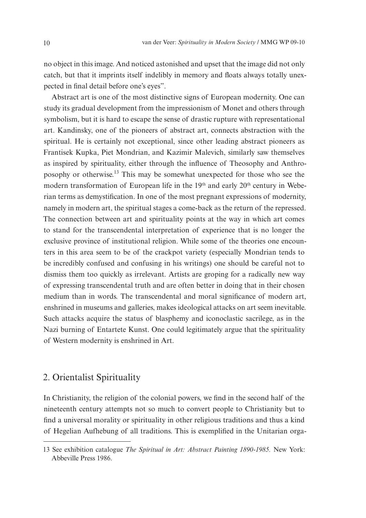no object in this image. And noticed astonished and upset that the image did not only catch, but that it imprints itself indelibly in memory and floats always totally unexpected in final detail before one's eyes".

Abstract art is one of the most distinctive signs of European modernity. One can study its gradual development from the impressionism of Monet and others through symbolism, but it is hard to escape the sense of drastic rupture with representational art. Kandinsky, one of the pioneers of abstract art, connects abstraction with the spiritual. He is certainly not exceptional, since other leading abstract pioneers as Frantisek Kupka, Piet Mondrian, and Kazimir Malevich, similarly saw themselves as inspired by spirituality, either through the influence of Theosophy and Anthroposophy or otherwise.13 This may be somewhat unexpected for those who see the modern transformation of European life in the  $19<sup>th</sup>$  and early  $20<sup>th</sup>$  century in Weberian terms as demystification. In one of the most pregnant expressions of modernity, namely in modern art, the spiritual stages a come-back as the return of the repressed. The connection between art and spirituality points at the way in which art comes to stand for the transcendental interpretation of experience that is no longer the exclusive province of institutional religion. While some of the theories one encounters in this area seem to be of the crackpot variety (especially Mondrian tends to be incredibly confused and confusing in his writings) one should be careful not to dismiss them too quickly as irrelevant. Artists are groping for a radically new way of expressing transcendental truth and are often better in doing that in their chosen medium than in words. The transcendental and moral significance of modern art, enshrined in museums and galleries, makes ideological attacks on art seem inevitable. Such attacks acquire the status of blasphemy and iconoclastic sacrilege, as in the Nazi burning of Entartete Kunst. One could legitimately argue that the spirituality of Western modernity is enshrined in Art.

#### 2. Orientalist Spirituality

In Christianity, the religion of the colonial powers, we find in the second half of the nineteenth century attempts not so much to convert people to Christianity but to find a universal morality or spirituality in other religious traditions and thus a kind of Hegelian Aufhebung of all traditions. This is exemplified in the Unitarian orga-

<sup>13</sup> See exhibition catalogue *The Spiritual in Art: Abstract Painting 1890-1985.* New York: Abbeville Press 1986.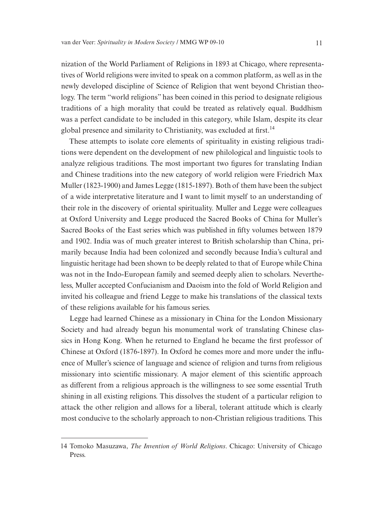nization of the World Parliament of Religions in 1893 at Chicago, where representatives of World religions were invited to speak on a common platform, as well as in the newly developed discipline of Science of Religion that went beyond Christian theology. The term "world religions" has been coined in this period to designate religious traditions of a high morality that could be treated as relatively equal. Buddhism was a perfect candidate to be included in this category, while Islam, despite its clear global presence and similarity to Christianity, was excluded at first.<sup>14</sup>

These attempts to isolate core elements of spirituality in existing religious traditions were dependent on the development of new philological and linguistic tools to analyze religious traditions. The most important two figures for translating Indian and Chinese traditions into the new category of world religion were Friedrich Max Muller (1823-1900) and James Legge (1815-1897). Both of them have been the subject of a wide interpretative literature and I want to limit myself to an understanding of their role in the discovery of oriental spirituality. Muller and Legge were colleagues at Oxford University and Legge produced the Sacred Books of China for Muller's Sacred Books of the East series which was published in fifty volumes between 1879 and 1902. India was of much greater interest to British scholarship than China, primarily because India had been colonized and secondly because India's cultural and linguistic heritage had been shown to be deeply related to that of Europe while China was not in the Indo-European family and seemed deeply alien to scholars. Nevertheless, Muller accepted Confucianism and Daoism into the fold of World Religion and invited his colleague and friend Legge to make his translations of the classical texts of these religions available for his famous series.

Legge had learned Chinese as a missionary in China for the London Missionary Society and had already begun his monumental work of translating Chinese classics in Hong Kong. When he returned to England he became the first professor of Chinese at Oxford (1876-1897). In Oxford he comes more and more under the influence of Muller's science of language and science of religion and turns from religious missionary into scientific missionary. A major element of this scientific approach as different from a religious approach is the willingness to see some essential Truth shining in all existing religions. This dissolves the student of a particular religion to attack the other religion and allows for a liberal, tolerant attitude which is clearly most conducive to the scholarly approach to non-Christian religious traditions. This

<sup>14</sup> Tomoko Masuzawa, *The Invention of World Religions*. Chicago: University of Chicago Press.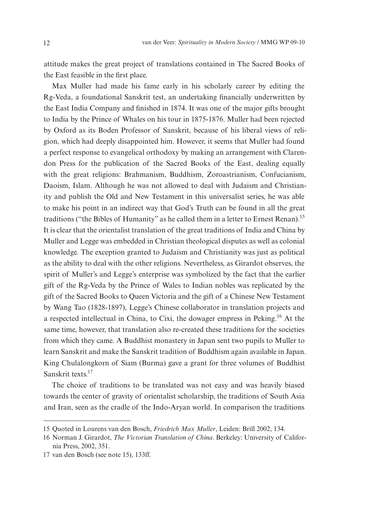attitude makes the great project of translations contained in The Sacred Books of the East feasible in the first place.

Max Muller had made his fame early in his scholarly career by editing the Rg-Veda, a foundational Sanskrit test, an undertaking financially underwritten by the East India Company and finished in 1874. It was one of the major gifts brought to India by the Prince of Whales on his tour in 1875-1876. Muller had been rejected by Oxford as its Boden Professor of Sanskrit, because of his liberal views of religion, which had deeply disappointed him. However, it seems that Muller had found a perfect response to evangelical orthodoxy by making an arrangement with Clarendon Press for the publication of the Sacred Books of the East, dealing equally with the great religions: Brahmanism, Buddhism, Zoroastrianism, Confucianism, Daoism, Islam. Although he was not allowed to deal with Judaism and Christianity and publish the Old and New Testament in this universalist series, he was able to make his point in an indirect way that God's Truth can be found in all the great traditions ("the Bibles of Humanity" as he called them in a letter to Ernest Renan).15 It is clear that the orientalist translation of the great traditions of India and China by Muller and Legge was embedded in Christian theological disputes as well as colonial knowledge. The exception granted to Judaism and Christianity was just as political as the ability to deal with the other religions. Nevertheless, as Girardot observes, the spirit of Muller's and Legge's enterprise was symbolized by the fact that the earlier gift of the Rg-Veda by the Prince of Wales to Indian nobles was replicated by the gift of the Sacred Books to Queen Victoria and the gift of a Chinese New Testament by Wang Tao (1828-1897), Legge's Chinese collaborator in translation projects and a respected intellectual in China, to Cixi, the dowager empress in Peking.16 At the same time, however, that translation also re-created these traditions for the societies from which they came. A Buddhist monastery in Japan sent two pupils to Muller to learn Sanskrit and make the Sanskrit tradition of Buddhism again available in Japan. King Chulalongkorn of Siam (Burma) gave a grant for three volumes of Buddhist Sanskrit texts.<sup>17</sup>

The choice of traditions to be translated was not easy and was heavily biased towards the center of gravity of orientalist scholarship, the traditions of South Asia and Iran, seen as the cradle of the Indo-Aryan world. In comparison the traditions

<sup>15</sup> Quoted in Lourens van den Bosch, *Friedrich Max Muller*, Leiden: Brill 2002, 134.

<sup>16</sup> Norman J. Girardot, *The Victorian Translation of China*. Berkeley: University of California Press, 2002, 351.

<sup>17</sup> van den Bosch (see note 15), 133ff.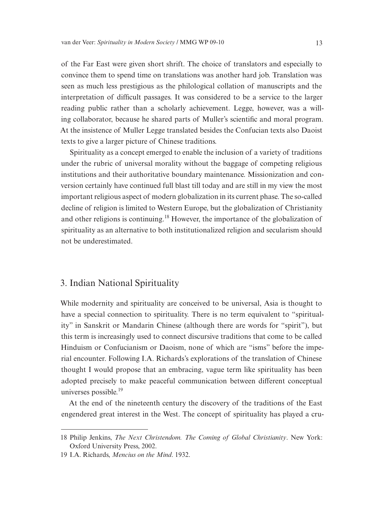of the Far East were given short shrift. The choice of translators and especially to convince them to spend time on translations was another hard job. Translation was seen as much less prestigious as the philological collation of manuscripts and the interpretation of difficult passages. It was considered to be a service to the larger reading public rather than a scholarly achievement. Legge, however, was a willing collaborator, because he shared parts of Muller's scientific and moral program. At the insistence of Muller Legge translated besides the Confucian texts also Daoist texts to give a larger picture of Chinese traditions.

Spirituality as a concept emerged to enable the inclusion of a variety of traditions under the rubric of universal morality without the baggage of competing religious institutions and their authoritative boundary maintenance. Missionization and conversion certainly have continued full blast till today and are still in my view the most important religious aspect of modern globalization in its current phase. The so-called decline of religion is limited to Western Europe, but the globalization of Christianity and other religions is continuing.<sup>18</sup> However, the importance of the globalization of spirituality as an alternative to both institutionalized religion and secularism should not be underestimated.

### 3. Indian National Spirituality

While modernity and spirituality are conceived to be universal, Asia is thought to have a special connection to spirituality. There is no term equivalent to "spirituality" in Sanskrit or Mandarin Chinese (although there are words for "spirit"), but this term is increasingly used to connect discursive traditions that come to be called Hinduism or Confucianism or Daoism, none of which are "isms" before the imperial encounter. Following I.A. Richards's explorations of the translation of Chinese thought I would propose that an embracing, vague term like spirituality has been adopted precisely to make peaceful communication between different conceptual universes possible.19

At the end of the nineteenth century the discovery of the traditions of the East engendered great interest in the West. The concept of spirituality has played a cru-

<sup>18</sup> Philip Jenkins, *The Next Christendom. The Coming of Global Christianity*. New York: Oxford University Press, 2002.

<sup>19</sup> I.A. Richards, *Mencius on the Mind*. 1932.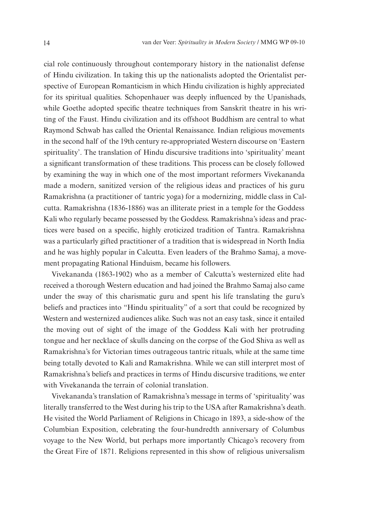cial role continuously throughout contemporary history in the nationalist defense of Hindu civilization. In taking this up the nationalists adopted the Orientalist perspective of European Romanticism in which Hindu civilization is highly appreciated for its spiritual qualities. Schopenhauer was deeply influenced by the Upanishads, while Goethe adopted specific theatre techniques from Sanskrit theatre in his writing of the Faust. Hindu civilization and its offshoot Buddhism are central to what Raymond Schwab has called the Oriental Renaissance. Indian religious movements in the second half of the 19th century re-appropriated Western discourse on 'Eastern spirituality'. The translation of Hindu discursive traditions into 'spirituality' meant a significant transformation of these traditions. This process can be closely followed by examining the way in which one of the most important reformers Vivekananda made a modern, sanitized version of the religious ideas and practices of his guru Ramakrishna (a practitioner of tantric yoga) for a modernizing, middle class in Calcutta. Ramakrishna (1836-1886) was an illiterate priest in a temple for the Goddess Kali who regularly became possessed by the Goddess. Ramakrishna's ideas and practices were based on a specific, highly eroticized tradition of Tantra. Ramakrishna was a particularly gifted practitioner of a tradition that is widespread in North India and he was highly popular in Calcutta. Even leaders of the Brahmo Samaj, a movement propagating Rational Hinduism, became his followers.

Vivekananda (1863-1902) who as a member of Calcutta's westernized elite had received a thorough Western education and had joined the Brahmo Samaj also came under the sway of this charismatic guru and spent his life translating the guru's beliefs and practices into "Hindu spirituality" of a sort that could be recognized by Western and westernized audiences alike. Such was not an easy task, since it entailed the moving out of sight of the image of the Goddess Kali with her protruding tongue and her necklace of skulls dancing on the corpse of the God Shiva as well as Ramakrishna's for Victorian times outrageous tantric rituals, while at the same time being totally devoted to Kali and Ramakrishna. While we can still interpret most of Ramakrishna's beliefs and practices in terms of Hindu discursive traditions, we enter with Vivekananda the terrain of colonial translation.

Vivekananda's translation of Ramakrishna's message in terms of 'spirituality' was literally transferred to the West during his trip to the USA after Ramakrishna's death. He visited the World Parliament of Religions in Chicago in 1893, a side-show of the Columbian Exposition, celebrating the four-hundredth anniversary of Columbus voyage to the New World, but perhaps more importantly Chicago's recovery from the Great Fire of 1871. Religions represented in this show of religious universalism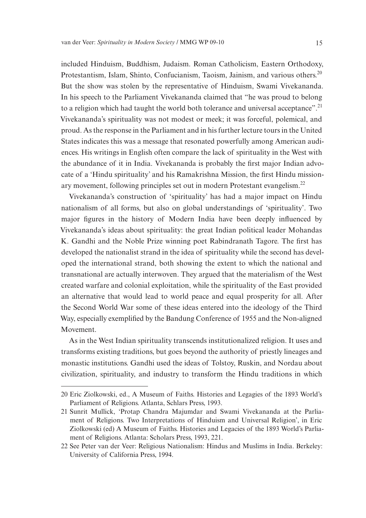included Hinduism, Buddhism, Judaism. Roman Catholicism, Eastern Orthodoxy, Protestantism, Islam, Shinto, Confucianism, Taoism, Jainism, and various others.<sup>20</sup> But the show was stolen by the representative of Hinduism, Swami Vivekananda. In his speech to the Parliament Vivekananda claimed that "he was proud to belong to a religion which had taught the world both tolerance and universal acceptance".<sup>21</sup> Vivekananda's spirituality was not modest or meek; it was forceful, polemical, and proud. As the response in the Parliament and in his further lecture tours in the United States indicates this was a message that resonated powerfully among American audiences. His writings in English often compare the lack of spirituality in the West with the abundance of it in India. Vivekananda is probably the first major Indian advocate of a 'Hindu spirituality' and his Ramakrishna Mission, the first Hindu missionary movement, following principles set out in modern Protestant evangelism.22

Vivekananda's construction of 'spirituality' has had a major impact on Hindu nationalism of all forms, but also on global understandings of 'spirituality'. Two major figures in the history of Modern India have been deeply influenced by Vivekananda's ideas about spirituality: the great Indian political leader Mohandas K. Gandhi and the Noble Prize winning poet Rabindranath Tagore. The first has developed the nationalist strand in the idea of spirituality while the second has developed the international strand, both showing the extent to which the national and transnational are actually interwoven. They argued that the materialism of the West created warfare and colonial exploitation, while the spirituality of the East provided an alternative that would lead to world peace and equal prosperity for all. After the Second World War some of these ideas entered into the ideology of the Third Way, especially exemplified by the Bandung Conference of 1955 and the Non-aligned Movement.

As in the West Indian spirituality transcends institutionalized religion. It uses and transforms existing traditions, but goes beyond the authority of priestly lineages and monastic institutions. Gandhi used the ideas of Tolstoy, Ruskin, and Nordau about civilization, spirituality, and industry to transform the Hindu traditions in which

<sup>20</sup> Eric Ziolkowski, ed., A Museum of Faiths. Histories and Legagies of the 1893 World's Parliament of Religions. Atlanta, Schlars Press, 1993.

<sup>21</sup> Sunrit Mullick, 'Protap Chandra Majumdar and Swami Vivekananda at the Parliament of Religions. Two Interpretations of Hinduism and Universal Religion', in Eric Ziolkowski (ed) A Museum of Faiths. Histories and Legacies of the 1893 World's Parliament of Religions. Atlanta: Scholars Press, 1993, 221.

<sup>22</sup> See Peter van der Veer: Religious Nationalism: Hindus and Muslims in India. Berkeley: University of California Press, 1994.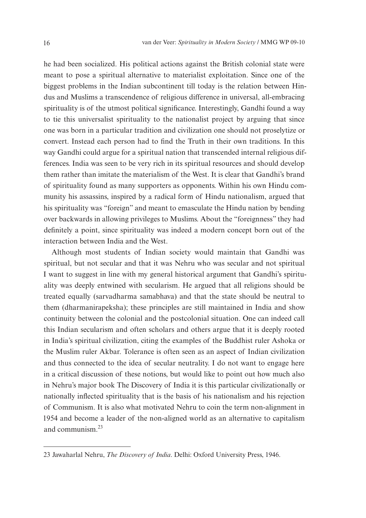he had been socialized. His political actions against the British colonial state were meant to pose a spiritual alternative to materialist exploitation. Since one of the biggest problems in the Indian subcontinent till today is the relation between Hindus and Muslims a transcendence of religious difference in universal, all-embracing spirituality is of the utmost political significance. Interestingly, Gandhi found a way to tie this universalist spirituality to the nationalist project by arguing that since one was born in a particular tradition and civilization one should not proselytize or convert. Instead each person had to find the Truth in their own traditions. In this way Gandhi could argue for a spiritual nation that transcended internal religious differences. India was seen to be very rich in its spiritual resources and should develop them rather than imitate the materialism of the West. It is clear that Gandhi's brand of spirituality found as many supporters as opponents. Within his own Hindu community his assassins, inspired by a radical form of Hindu nationalism, argued that his spirituality was "foreign" and meant to emasculate the Hindu nation by bending over backwards in allowing privileges to Muslims. About the "foreignness" they had definitely a point, since spirituality was indeed a modern concept born out of the interaction between India and the West.

Although most students of Indian society would maintain that Gandhi was spiritual, but not secular and that it was Nehru who was secular and not spiritual I want to suggest in line with my general historical argument that Gandhi's spirituality was deeply entwined with secularism. He argued that all religions should be treated equally (sarvadharma samabhava) and that the state should be neutral to them (dharmanirapeksha); these principles are still maintained in India and show continuity between the colonial and the postcolonial situation. One can indeed call this Indian secularism and often scholars and others argue that it is deeply rooted in India's spiritual civilization, citing the examples of the Buddhist ruler Ashoka or the Muslim ruler Akbar. Tolerance is often seen as an aspect of Indian civilization and thus connected to the idea of secular neutrality. I do not want to engage here in a critical discussion of these notions, but would like to point out how much also in Nehru's major book The Discovery of India it is this particular civilizationally or nationally inflected spirituality that is the basis of his nationalism and his rejection of Communism. It is also what motivated Nehru to coin the term non-alignment in 1954 and become a leader of the non-aligned world as an alternative to capitalism and communism.23

<sup>23</sup> Jawaharlal Nehru, *The Discovery of India*. Delhi: Oxford University Press, 1946.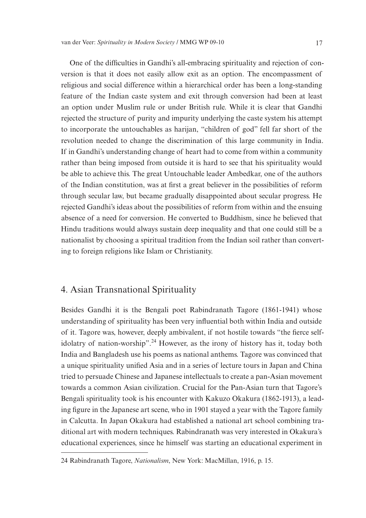One of the difficulties in Gandhi's all-embracing spirituality and rejection of conversion is that it does not easily allow exit as an option. The encompassment of religious and social difference within a hierarchical order has been a long-standing feature of the Indian caste system and exit through conversion had been at least an option under Muslim rule or under British rule. While it is clear that Gandhi rejected the structure of purity and impurity underlying the caste system his attempt to incorporate the untouchables as harijan, "children of god" fell far short of the revolution needed to change the discrimination of this large community in India. If in Gandhi's understanding change of heart had to come from within a community rather than being imposed from outside it is hard to see that his spirituality would be able to achieve this. The great Untouchable leader Ambedkar, one of the authors of the Indian constitution, was at first a great believer in the possibilities of reform through secular law, but became gradually disappointed about secular progress. He rejected Gandhi's ideas about the possibilities of reform from within and the ensuing absence of a need for conversion. He converted to Buddhism, since he believed that Hindu traditions would always sustain deep inequality and that one could still be a nationalist by choosing a spiritual tradition from the Indian soil rather than converting to foreign religions like Islam or Christianity.

#### 4. Asian Transnational Spirituality

Besides Gandhi it is the Bengali poet Rabindranath Tagore (1861-1941) whose understanding of spirituality has been very influential both within India and outside of it. Tagore was, however, deeply ambivalent, if not hostile towards "the fierce selfidolatry of nation-worship".<sup>24</sup> However, as the irony of history has it, today both India and Bangladesh use his poems as national anthems. Tagore was convinced that a unique spirituality unified Asia and in a series of lecture tours in Japan and China tried to persuade Chinese and Japanese intellectuals to create a pan-Asian movement towards a common Asian civilization. Crucial for the Pan-Asian turn that Tagore's Bengali spirituality took is his encounter with Kakuzo Okakura (1862-1913), a leading figure in the Japanese art scene, who in 1901 stayed a year with the Tagore family in Calcutta. In Japan Okakura had established a national art school combining traditional art with modern techniques. Rabindranath was very interested in Okakura's educational experiences, since he himself was starting an educational experiment in

<sup>24</sup> Rabindranath Tagore, *Nationalism*, New York: MacMillan, 1916, p. 15.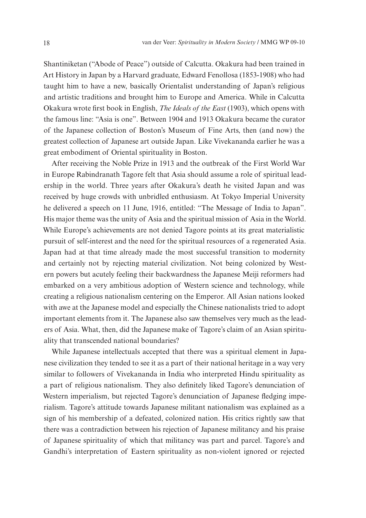Shantiniketan ("Abode of Peace") outside of Calcutta. Okakura had been trained in Art History in Japan by a Harvard graduate, Edward Fenollosa (1853-1908) who had taught him to have a new, basically Orientalist understanding of Japan's religious and artistic traditions and brought him to Europe and America. While in Calcutta Okakura wrote first book in English, *The Ideals of the East* (1903), which opens with the famous line: "Asia is one". Between 1904 and 1913 Okakura became the curator of the Japanese collection of Boston's Museum of Fine Arts, then (and now) the greatest collection of Japanese art outside Japan. Like Vivekananda earlier he was a great embodiment of Oriental spirituality in Boston.

After receiving the Noble Prize in 1913 and the outbreak of the First World War in Europe Rabindranath Tagore felt that Asia should assume a role of spiritual leadership in the world. Three years after Okakura's death he visited Japan and was received by huge crowds with unbridled enthusiasm. At Tokyo Imperial University he delivered a speech on 11 June, 1916, entitled: "The Message of India to Japan". His major theme was the unity of Asia and the spiritual mission of Asia in the World. While Europe's achievements are not denied Tagore points at its great materialistic pursuit of self-interest and the need for the spiritual resources of a regenerated Asia. Japan had at that time already made the most successful transition to modernity and certainly not by rejecting material civilization. Not being colonized by Western powers but acutely feeling their backwardness the Japanese Meiji reformers had embarked on a very ambitious adoption of Western science and technology, while creating a religious nationalism centering on the Emperor. All Asian nations looked with awe at the Japanese model and especially the Chinese nationalists tried to adopt important elements from it. The Japanese also saw themselves very much as the leaders of Asia. What, then, did the Japanese make of Tagore's claim of an Asian spirituality that transcended national boundaries?

While Japanese intellectuals accepted that there was a spiritual element in Japanese civilization they tended to see it as a part of their national heritage in a way very similar to followers of Vivekananda in India who interpreted Hindu spirituality as a part of religious nationalism. They also definitely liked Tagore's denunciation of Western imperialism, but rejected Tagore's denunciation of Japanese fledging imperialism. Tagore's attitude towards Japanese militant nationalism was explained as a sign of his membership of a defeated, colonized nation. His critics rightly saw that there was a contradiction between his rejection of Japanese militancy and his praise of Japanese spirituality of which that militancy was part and parcel. Tagore's and Gandhi's interpretation of Eastern spirituality as non-violent ignored or rejected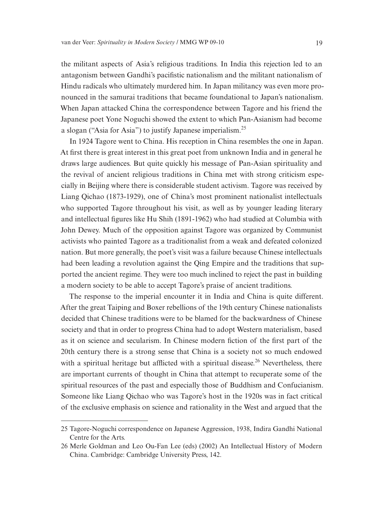the militant aspects of Asia's religious traditions. In India this rejection led to an antagonism between Gandhi's pacifistic nationalism and the militant nationalism of Hindu radicals who ultimately murdered him. In Japan militancy was even more pronounced in the samurai traditions that became foundational to Japan's nationalism. When Japan attacked China the correspondence between Tagore and his friend the Japanese poet Yone Noguchi showed the extent to which Pan-Asianism had become a slogan ("Asia for Asia") to justify Japanese imperialism.25

In 1924 Tagore went to China. His reception in China resembles the one in Japan. At first there is great interest in this great poet from unknown India and in general he draws large audiences. But quite quickly his message of Pan-Asian spirituality and the revival of ancient religious traditions in China met with strong criticism especially in Beijing where there is considerable student activism. Tagore was received by Liang Qichao (1873-1929), one of China's most prominent nationalist intellectuals who supported Tagore throughout his visit, as well as by younger leading literary and intellectual figures like Hu Shih (1891-1962) who had studied at Columbia with John Dewey. Much of the opposition against Tagore was organized by Communist activists who painted Tagore as a traditionalist from a weak and defeated colonized nation. But more generally, the poet's visit was a failure because Chinese intellectuals had been leading a revolution against the Qing Empire and the traditions that supported the ancient regime. They were too much inclined to reject the past in building a modern society to be able to accept Tagore's praise of ancient traditions.

The response to the imperial encounter it in India and China is quite different. After the great Taiping and Boxer rebellions of the 19th century Chinese nationalists decided that Chinese traditions were to be blamed for the backwardness of Chinese society and that in order to progress China had to adopt Western materialism, based as it on science and secularism. In Chinese modern fiction of the first part of the 20th century there is a strong sense that China is a society not so much endowed with a spiritual heritage but afflicted with a spiritual disease.<sup>26</sup> Nevertheless, there are important currents of thought in China that attempt to recuperate some of the spiritual resources of the past and especially those of Buddhism and Confucianism. Someone like Liang Qichao who was Tagore's host in the 1920s was in fact critical of the exclusive emphasis on science and rationality in the West and argued that the

<sup>25</sup> Tagore-Noguchi correspondence on Japanese Aggression, 1938, Indira Gandhi National Centre for the Arts.

<sup>26</sup> Merle Goldman and Leo Ou-Fan Lee (eds) (2002) An Intellectual History of Modern China. Cambridge: Cambridge University Press, 142.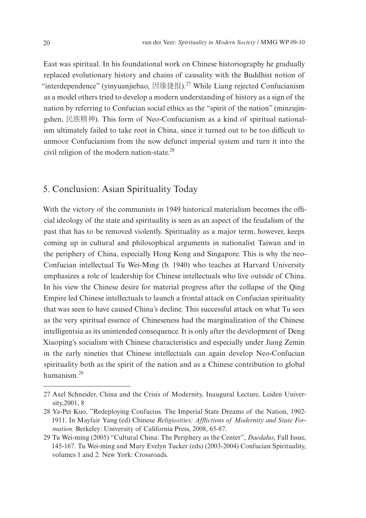East was spiritual. In his foundational work on Chinese historiography he gradually replaced evolutionary history and chains of causality with the Buddhist notion of "interdependence" (yinyuanjiebao,  $\boxtimes \frac{27}{3}$  While Liang rejected Confucianism as a model others tried to develop a modern understanding of history as a sign of the nation by referring to Confucian social ethics as the "spirit of the nation" (minzujingshen, 民族精神). This form of Neo-Confucianism as a kind of spiritual nationalism ultimately failed to take root in China, since it turned out to be too difficult to unmoor Confucianism from the now defunct imperial system and turn it into the civil religion of the modern nation-state.28

#### 5. Conclusion: Asian Spirituality Today

With the victory of the communists in 1949 historical materialism becomes the official ideology of the state and spirituality is seen as an aspect of the feudalism of the past that has to be removed violently. Spirituality as a major term, however, keeps coming up in cultural and philosophical arguments in nationalist Taiwan and in the periphery of China, especially Hong Kong and Singapore. This is why the neo-Confucian intellectual Tu Wei-Ming (b. 1940) who teaches at Harvard University emphasizes a role of leadership for Chinese intellectuals who live outside of China. In his view the Chinese desire for material progress after the collapse of the Qing Empire led Chinese intellectuals to launch a frontal attack on Confucian spirituality that was seen to have caused China's decline. This successful attack on what Tu sees as the very spiritual essence of Chineseness had the marginalization of the Chinese intelligentsia as its unintended consequence. It is only after the development of Deng Xiaoping's socialism with Chinese characteristics and especially under Jiang Zemin in the early nineties that Chinese intellectuals can again develop Neo-Confucian spirituality both as the spirit of the nation and as a Chinese contribution to global humanism.<sup>29</sup>

<sup>27</sup> Axel Schneider, China and the Crisis of Modernity, Inaugural Lecture, Leiden University,2001, 8

<sup>28</sup> Ya-Pei Kuo, "Redeploying Confucius. The Imperial State Dreams of the Nation, 1902- 1911. In Mayfair Yang (ed) Chinese *Religiosities: Afflictions of Modernity and State Formation*. Berkeley: University of California Press, 2008, 65-87.

<sup>29</sup> Tu Wei-ming (2005) "Cultural China: The Periphery as the Center", *Daedalus*, Fall Issue, 145-167. Tu Wei-ming and Mary Evelyn Tucker (eds) (2003-2004) Confucian Spirituality, volumes 1 and 2. New York: Crossroads.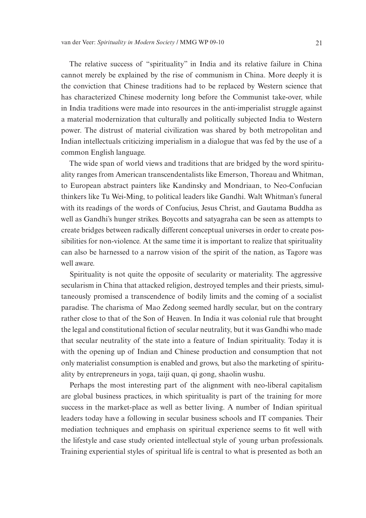The relative success of "spirituality" in India and its relative failure in China cannot merely be explained by the rise of communism in China. More deeply it is the conviction that Chinese traditions had to be replaced by Western science that has characterized Chinese modernity long before the Communist take-over, while in India traditions were made into resources in the anti-imperialist struggle against a material modernization that culturally and politically subjected India to Western power. The distrust of material civilization was shared by both metropolitan and Indian intellectuals criticizing imperialism in a dialogue that was fed by the use of a common English language.

The wide span of world views and traditions that are bridged by the word spirituality ranges from American transcendentalists like Emerson, Thoreau and Whitman, to European abstract painters like Kandinsky and Mondriaan, to Neo-Confucian thinkers like Tu Wei-Ming, to political leaders like Gandhi. Walt Whitman's funeral with its readings of the words of Confucius, Jesus Christ, and Gautama Buddha as well as Gandhi's hunger strikes. Boycotts and satyagraha can be seen as attempts to create bridges between radically different conceptual universes in order to create possibilities for non-violence. At the same time it is important to realize that spirituality can also be harnessed to a narrow vision of the spirit of the nation, as Tagore was well aware.

Spirituality is not quite the opposite of secularity or materiality. The aggressive secularism in China that attacked religion, destroyed temples and their priests, simultaneously promised a transcendence of bodily limits and the coming of a socialist paradise. The charisma of Mao Zedong seemed hardly secular, but on the contrary rather close to that of the Son of Heaven. In India it was colonial rule that brought the legal and constitutional fiction of secular neutrality, but it was Gandhi who made that secular neutrality of the state into a feature of Indian spirituality. Today it is with the opening up of Indian and Chinese production and consumption that not only materialist consumption is enabled and grows, but also the marketing of spirituality by entrepreneurs in yoga, taiji quan, qi gong, shaolin wushu.

Perhaps the most interesting part of the alignment with neo-liberal capitalism are global business practices, in which spirituality is part of the training for more success in the market-place as well as better living. A number of Indian spiritual leaders today have a following in secular business schools and IT companies. Their mediation techniques and emphasis on spiritual experience seems to fit well with the lifestyle and case study oriented intellectual style of young urban professionals. Training experiential styles of spiritual life is central to what is presented as both an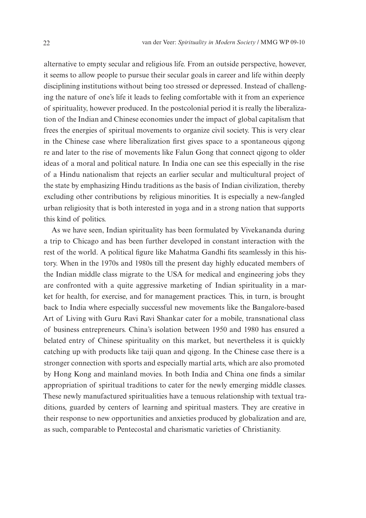alternative to empty secular and religious life. From an outside perspective, however, it seems to allow people to pursue their secular goals in career and life within deeply disciplining institutions without being too stressed or depressed. Instead of challenging the nature of one's life it leads to feeling comfortable with it from an experience of spirituality, however produced. In the postcolonial period it is really the liberalization of the Indian and Chinese economies under the impact of global capitalism that frees the energies of spiritual movements to organize civil society. This is very clear in the Chinese case where liberalization first gives space to a spontaneous qigong re and later to the rise of movements like Falun Gong that connect qigong to older ideas of a moral and political nature. In India one can see this especially in the rise of a Hindu nationalism that rejects an earlier secular and multicultural project of the state by emphasizing Hindu traditions as the basis of Indian civilization, thereby excluding other contributions by religious minorities. It is especially a new-fangled urban religiosity that is both interested in yoga and in a strong nation that supports this kind of politics.

As we have seen, Indian spirituality has been formulated by Vivekananda during a trip to Chicago and has been further developed in constant interaction with the rest of the world. A political figure like Mahatma Gandhi fits seamlessly in this history. When in the 1970s and 1980s till the present day highly educated members of the Indian middle class migrate to the USA for medical and engineering jobs they are confronted with a quite aggressive marketing of Indian spirituality in a market for health, for exercise, and for management practices. This, in turn, is brought back to India where especially successful new movements like the Bangalore-based Art of Living with Guru Ravi Ravi Shankar cater for a mobile, transnational class of business entrepreneurs. China's isolation between 1950 and 1980 has ensured a belated entry of Chinese spirituality on this market, but nevertheless it is quickly catching up with products like taiji quan and qigong. In the Chinese case there is a stronger connection with sports and especially martial arts, which are also promoted by Hong Kong and mainland movies. In both India and China one finds a similar appropriation of spiritual traditions to cater for the newly emerging middle classes. These newly manufactured spiritualities have a tenuous relationship with textual traditions, guarded by centers of learning and spiritual masters. They are creative in their response to new opportunities and anxieties produced by globalization and are, as such, comparable to Pentecostal and charismatic varieties of Christianity.